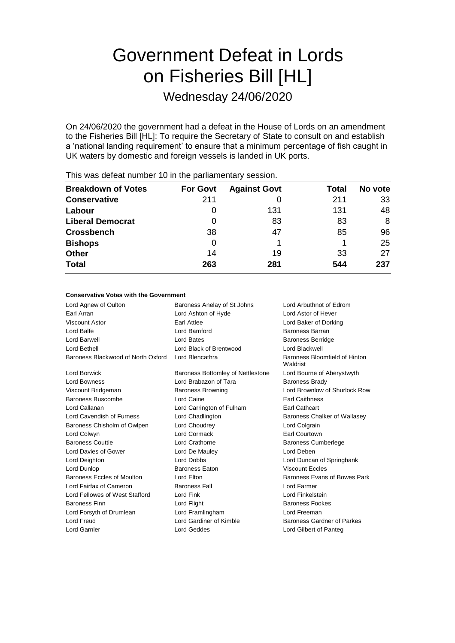# Government Defeat in Lords on Fisheries Bill [HL]

Wednesday 24/06/2020

On 24/06/2020 the government had a defeat in the House of Lords on an amendment to the Fisheries Bill [HL]: To require the Secretary of State to consult on and establish a 'national landing requirement' to ensure that a minimum percentage of fish caught in UK waters by domestic and foreign vessels is landed in UK ports.

| <b>Breakdown of Votes</b> | <b>For Govt</b> | <b>Against Govt</b> | Total | No vote |
|---------------------------|-----------------|---------------------|-------|---------|
| <b>Conservative</b>       | 211             |                     | 211   | 33      |
| Labour                    | 0               | 131                 | 131   | 48      |
| <b>Liberal Democrat</b>   | 0               | 83                  | 83    | 8       |
| <b>Crossbench</b>         | 38              | 47                  | 85    | 96      |
| <b>Bishops</b>            | 0               |                     |       | 25      |
| <b>Other</b>              | 14              | 19                  | 33    | 27      |
| <b>Total</b>              | 263             | 281                 | 544   | 237     |
|                           |                 |                     |       |         |

This was defeat number 10 in the parliamentary session.

## **Conservative Votes with the Government**

| Lord Agnew of Oulton               | Baroness Anelay of St Johns<br>Lord Arbuthnot of Edrom |                                           |  |
|------------------------------------|--------------------------------------------------------|-------------------------------------------|--|
| Earl Arran                         | Lord Ashton of Hyde                                    | Lord Astor of Hever                       |  |
| Viscount Astor                     | <b>Earl Attlee</b>                                     | Lord Baker of Dorking                     |  |
| Lord Balfe                         | Lord Bamford                                           | Baroness Barran                           |  |
| Lord Barwell                       | Lord Bates                                             | <b>Baroness Berridge</b>                  |  |
| Lord Bethell                       | Lord Black of Brentwood                                | Lord Blackwell                            |  |
| Baroness Blackwood of North Oxford | Lord Blencathra                                        | Baroness Bloomfield of Hinton<br>Waldrist |  |
| Lord Borwick                       | Baroness Bottomley of Nettlestone                      | Lord Bourne of Aberystwyth                |  |
| <b>Lord Bowness</b>                | Lord Brabazon of Tara                                  | <b>Baroness Brady</b>                     |  |
| Viscount Bridgeman                 | <b>Baroness Browning</b>                               | Lord Brownlow of Shurlock Row             |  |
| Baroness Buscombe                  | Lord Caine                                             | <b>Earl Caithness</b>                     |  |
| Lord Callanan                      | Lord Carrington of Fulham                              | <b>Earl Cathcart</b>                      |  |
| Lord Cavendish of Furness          | Lord Chadlington                                       | Baroness Chalker of Wallasey              |  |
| Baroness Chisholm of Owlpen        | Lord Choudrey                                          | Lord Colgrain                             |  |
| Lord Colwyn                        | Lord Cormack                                           | <b>Earl Courtown</b>                      |  |
| <b>Baroness Couttie</b>            | Lord Crathorne                                         | <b>Baroness Cumberlege</b>                |  |
| Lord Davies of Gower               | Lord De Mauley                                         | Lord Deben                                |  |
| Lord Deighton                      | <b>Lord Dobbs</b>                                      | Lord Duncan of Springbank                 |  |
| Lord Dunlop                        | <b>Baroness Eaton</b>                                  | <b>Viscount Eccles</b>                    |  |
| Baroness Eccles of Moulton         | Lord Elton                                             | Baroness Evans of Bowes Park              |  |
| Lord Fairfax of Cameron            | <b>Baroness Fall</b>                                   | Lord Farmer                               |  |
| Lord Fellowes of West Stafford     | Lord Fink                                              | Lord Finkelstein                          |  |
| <b>Baroness Finn</b>               | Lord Flight                                            | <b>Baroness Fookes</b>                    |  |
| Lord Forsyth of Drumlean           | Lord Framlingham                                       | Lord Freeman                              |  |
| Lord Freud                         | Lord Gardiner of Kimble                                | Baroness Gardner of Parkes                |  |
| Lord Garnier                       | <b>Lord Geddes</b>                                     | Lord Gilbert of Panteg                    |  |
|                                    |                                                        |                                           |  |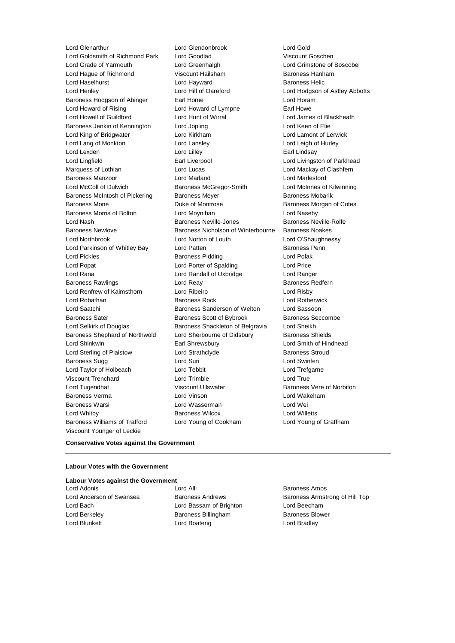Lord Goldsmith of Richmond Park Lord Goodlad Viscount Goschen Lord Grade of Yarmouth Lord Greenhalgh Lord Grimstone of Boscobel Lord Hague of Richmond Viscount Hailsham Baroness Hanham Lord Haselhurst **Lord Hayward** Lord Hayward **Baroness Helic** Lord Henley Lord Hill of Oareford Lord Hodgson of Astley Abbotts Baroness Hodgson of Abinger Earl Home Earl Home Lord Horam Lord Howard of Rising **Lord Howard of Lympne** Earl Howe Lord Howell of Guildford Lord Hunt of Wirral Lord James of Blackheath Baroness Jenkin of Kennington Lord Jopling Lord Keen of Elie Lord King of Bridgwater Lord Kirkham Lord Lamont of Lerwick Lord Lang of Monkton Lord Lansley Lord Leigh of Hurley Lord Lexden **Lord Lindsay** Lord Lilley **Communication** Lord Lindsay Lord Lingfield **Earl Liverpool** Earl Liverpool **Lord Livingston of Parkhead** Marquess of Lothian **Lord Lord Lucas** Lord Lucas **Lord Mackay of Clashfern** Baroness Manzoor Lord Marland Lord Marlesford Lord McColl of Dulwich Baroness McGregor-Smith Lord McInnes of Kilwinning Baroness McIntosh of Pickering Baroness Meyer Baroness Mobarik Baroness Mone Duke of Montrose Baroness Morgan of Cotes Baroness Morris of Bolton Lord Moynihan Lord Naseby Lord Nash Baroness Neville-Jones Baroness Neville-Rolfe Baroness Newlove Baroness Nicholson of Winterbourne Baroness Noakes Lord Northbrook Lord Norton of Louth Lord O'Shaughnessy Lord Parkinson of Whitley Bay **Lord Patten Communist Constructs** Baroness Penn Lord Pickles **Baroness Pidding Lord Polak** Lord Polak Lord Popat Lord Porter of Spalding Lord Price Lord Rana Lord Randall of Uxbridge Lord Ranger Baroness Rawlings **Baroness Realists** Lord Reay **Baroness Redfern** Lord Renfrew of Kaimsthorn Lord Ribeiro Lord Risby Lord Robathan Baroness Rock Lord Rotherwick Lord Saatchi Baroness Sanderson of Welton Lord Sassoon Baroness Sater **Baroness Scott of Bybrook** Baroness Seccombe Lord Selkirk of Douglas Baroness Shackleton of Belgravia Lord Sheikh Baroness Shephard of Northwold Lord Sherbourne of Didsbury Baroness Shields Lord Shinkwin Earl Shrewsbury Lord Smith of Hindhead Lord Sterling of Plaistow Lord Strathclyde Baroness Stroud Baroness Sugg and Lord Suri Lord Suri Lord Suri Lord Swinfen Lord Taylor of Holbeach Lord Tebbit Lord Trefgarne Viscount Trenchard Lord Trimble Lord True Lord Tugendhat Viscount Ullswater Baroness Vere of Norbiton Baroness Verma Lord Vinson Lord Wakeham Baroness Warsi **Lord Wasserman** Lord Wei Lord Whitby Baroness Wilcox Lord Willetts Baroness Williams of Trafford Lord Young of Cookham Lord Young of Graffham Viscount Younger of Leckie

Lord Glenarthur **Lord Glendonbrook** Lord Gold<br>
Lord Goldsmith of Richmond Park Lord Goodlad 
Lord Coldsmith of Richmond Park Lord Goodlad

#### **Conservative Votes against the Government**

#### **Labour Votes with the Government**

**Labour Votes against the Government** Lord Adonis **Lord Alli** Lord Alli **Baroness Amos** 

- 
- Lord Bach Lord Bassam of Brighton Lord Beecham Lord Berkeley **Baroness Billingham** Baroness Blower Lord Blunkett Lord Boateng Lord Bradley

Lord Anderson of Swansea **Baroness Andrews** Baroness Andrews Baroness Armstrong of Hill Top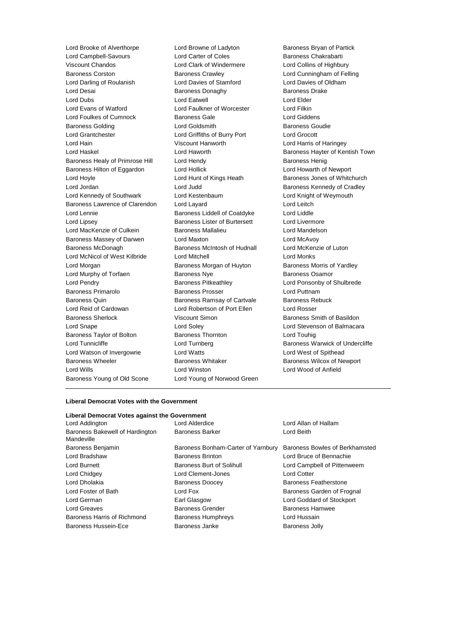Lord Brooke of Alverthorpe Lord Browne of Ladyton Baroness Bryan of Partick<br>
Lord Campbell-Savours Lord Carter of Coles Baroness Chakrabarti Lord Campbell-Savours Viscount Chandos Lord Clark of Windermere Lord Collins of Highbury Baroness Corston Baroness Crawley Lord Cunningham of Felling Lord Darling of Roulanish Lord Davies of Stamford Lord Davies of Oldham Lord Desai Baroness Donaghy Baroness Drake Lord Dubs Lord Eatwell Lord Elder Lord Evans of Watford Lord Faulkner of Worcester Lord Filkin Lord Foulkes of Cumnock Baroness Gale Cumnoch Baroness Gale Cumnock Baroness Gale Lord Giddens Baroness Golding **Baroness Goudie** Lord Goldsmith **Baroness Goudie Baroness Goudie** Lord Grantchester Lord Griffiths of Burry Port Lord Grocott Lord Hain Viscount Hanworth Lord Harris of Haringey Lord Haskel **Lord Haworth Baroness Hayter of Kentish Town** Baroness Healy of Primrose Hill Lord Hendy **Baroness Henig** Baroness Henig Baroness Hilton of Eggardon Lord Hollick Lord Howarth of Newport Lord Hoyle **Lord Hunt of Kings Heath** Baroness Jones of Whitchurch Lord Jordan **Lord Judd** Baroness Kennedy of Cradley Lord Kennedy of Southwark Lord Kestenbaum Lord Knight of Weymouth Baroness Lawrence of Clarendon Lord Layard Lord Leitch Lord Lennie **Baroness Liddell of Coatdyke** Lord Liddle Lord Lipsey Baroness Lister of Burtersett Lord Livermore Lord MacKenzie of Culkein **Baroness Mallalieu Lord Mandelson** Baroness Massey of Darwen Lord Maxton Lord McAvoy Baroness McDonagh Baroness McIntosh of Hudnall Lord McKenzie of Luton Lord McNicol of West Kilbride Lord Mitchell Lord Monks Lord Morgan **Baroness Morgan of Huyton** Baroness Morris of Yardley Lord Murphy of Torfaen **Baroness Nye** Baroness Osamor Lord Pendry **Baroness Pitkeathley Lord Ponsonby of Shulbrede** Lord Ponsonby of Shulbrede Baroness Primarolo **Baroness Prosser Baroness Prosser** Lord Puttnam Baroness Quin **Baroness Ramsay of Cartvale** Baroness Rebuck Lord Reid of Cardowan Lord Robertson of Port Ellen Lord Rosser Baroness Sherlock **Viscount Simon** Baroness Smith of Basildon Lord Snape Lord Soley Lord Stevenson of Balmacara Baroness Taylor of Bolton Baroness Thornton Lord Touhig Lord Tunnicliffe **Lord Turnberg** Lord Turnberg **Baroness Warwick of Undercliffe** Lord Watson of Invergowrie Lord Watts Lord West of Spithead Baroness Wheeler **Baroness Whitaker** Baroness Whitaker **Baroness Wilcox of Newport** Lord Wills Lord Winston Lord Wood of Anfield Baroness Young of Old Scone Lord Young of Norwood Green

### **Liberal Democrat Votes with the Government**

## **Liberal Democrat Votes against the Government**

| Elbergi Democrat votes against the Oovernment |                                    |                                |  |
|-----------------------------------------------|------------------------------------|--------------------------------|--|
| Lord Addington                                | Lord Alderdice                     | Lord Allan of Hallam           |  |
| Baroness Bakewell of Hardington<br>Mandeville | <b>Baroness Barker</b>             | Lord Beith                     |  |
| Baroness Benjamin                             | Baroness Bonham-Carter of Yarnbury | Baroness Bowles of Berkhamsted |  |
| Lord Bradshaw                                 | <b>Baroness Brinton</b>            | Lord Bruce of Bennachie        |  |
| Lord Burnett                                  | Baroness Burt of Solihull          | Lord Campbell of Pittenweem    |  |
| Lord Chidgey                                  | Lord Clement-Jones                 | <b>Lord Cotter</b>             |  |
| Lord Dholakia                                 | <b>Baroness Doocey</b>             | <b>Baroness Featherstone</b>   |  |
| Lord Foster of Bath                           | Lord Fox                           | Baroness Garden of Frognal     |  |
| Lord German                                   | Earl Glasgow                       | Lord Goddard of Stockport      |  |
| Lord Greaves                                  | <b>Baroness Grender</b>            | <b>Baroness Hamwee</b>         |  |
| Baroness Harris of Richmond                   | <b>Baroness Humphreys</b>          | Lord Hussain                   |  |
| <b>Baroness Hussein-Ece</b>                   | Baroness Janke                     | <b>Baroness Jolly</b>          |  |
|                                               |                                    |                                |  |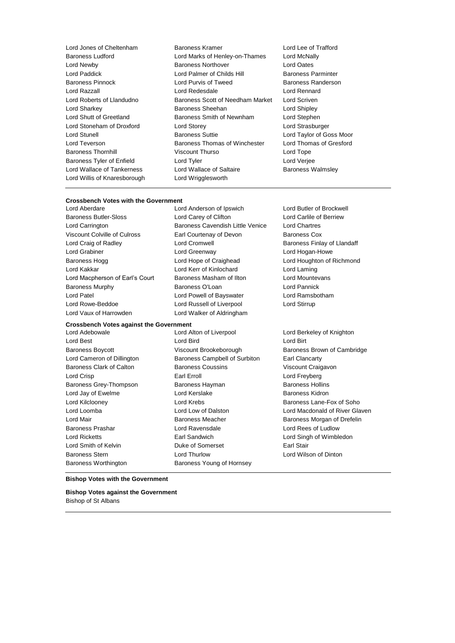Lord Willis of Knaresborough Lord Wrigglesworth

- Lord Jones of Cheltenham Baroness Kramer Baroness Kramer Lord Lee of Trafford<br>Baroness Ludford Lord Marks of Henley-on-Thames Lord McNally Lord Marks of Henley-on-Thames Lord McNally Lord Newby Baroness Northover Lord Oates Lord Paddick Lord Palmer of Childs Hill Baroness Parminter Baroness Pinnock Lord Purvis of Tweed Baroness Randerson Lord Razzall Lord Redesdale Lord Rennard Lord Roberts of Llandudno Baroness Scott of Needham Market Lord Scriven Lord Sharkey **Baroness Sheehan** Lord Shipley **Lord Shipley** Lord Shutt of Greetland Baroness Smith of Newnham Lord Stephen Lord Stoneham of Droxford Lord Storey Lord Strasburger Lord Stunell **Baroness Suttie Lord Taylor of Goss Moor** Lord Teverson **Baroness Thomas of Winchester** Lord Thomas of Gresford Baroness Thornhill Viscount Thurso Lord Tope Baroness Tyler of Enfield Lord Tyler Lord Verjee Lord Wallace of Tankerness **Lord Wallace of Saltaire** Baroness Walmsley
	-

# **Crossbench Votes with the Government**

Baroness Butler-Sloss Lord Carey of Clifton Lord Carlile of Berriew Lord Carrington Baroness Cavendish Little Venice Lord Chartres Viscount Colville of Culross **Earl Courtenay of Devon** Baroness Cox Lord Craig of Radley **Lord Cromwell** Lord Cromwell **Baroness Finlay of Llandaff** Lord Grabiner **Lord Greenway** Communications and Lord Hogan-Howe Baroness Hogg **Lord Hope of Craighead** Lord Houghton of Richmond Lord Kakkar Lord Kerr of Kinlochard Lord Laming Lord Macpherson of Earl's Court Baroness Masham of Ilton **Lord Mountevans** Baroness Murphy **Baroness O'Loan** Lord Pannick Lord Patel Lord Powell of Bayswater Lord Ramsbotham Lord Rowe-Beddoe **Lord Russell of Liverpool** Lord Stirrup Lord Vaux of Harrowden Lord Walker of Aldringham

Lord Anderson of Ipswich Lord Butler of Brockwell

# **Crossbench Votes against the Government**

Lord Adebowale Lord Alton of Liverpool Lord Berkeley of Knighton Lord Best Lord Bird Lord Birt Lord Cameron of Dillington Baroness Campbell of Surbiton Earl Clancarty Baroness Clark of Calton Baroness Coussins Viscount Craigavon Lord Crisp **Earl Erroll** Earl Erroll **Earl Erroll** Except Earl Erroll **Lord Freyberg** Baroness Grey-Thompson Baroness Hayman Baroness Hollins Lord Jay of Ewelme **Lord Kerslake** Lord Kerslake **Baroness Kidron** Lord Kilclooney **Lord Krebs** Lane-Fox of Soho Lord Mair **Baroness Meacher Baroness Meacher** Baroness Morgan of Drefelin Baroness Prashar Lord Ravensdale Lord Rees of Ludlow Lord Ricketts Earl Sandwich Lord Singh of Wimbledon Lord Smith of Kelvin Duke of Somerset Earl Stair Baroness Stern Lord Thurlow Lord Wilson of Dinton Baroness Worthington **Baroness Young of Hornsey** 

Baroness Boycott **Brookeborough** Brookeborough Baroness Brown of Cambridge Lord Loomba Lord Low of Dalston Lord Macdonald of River Glaven

#### **Bishop Votes with the Government**

**Bishop Votes against the Government** Bishop of St Albans